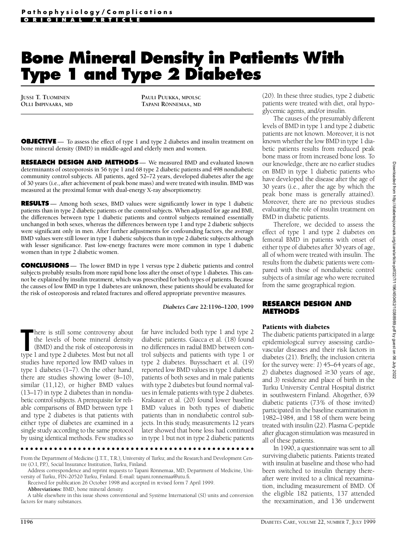# **Bone Mineral Density in Patients With Type 1 and Type 2 Diabetes**

**JUSSI T. TUOMINEN OLLI IMPIVAARA, MD** **PAULI PUUKKA, MPOLSC TAPANI RÖNNEMAA, MD**

**OBJECTIVE** — To assess the effect of type 1 and type 2 diabetes and insulin treatment on bone mineral density (BMD) in middle-aged and elderly men and women.

**RESEARCH DESIGN AND METHODS**— We measured BMD and evaluated known determinants of osteoporosis in 56 type 1 and 68 type 2 diabetic patients and 498 nondiabetic community control subjects. All patients, aged 52–72 years, developed diabetes after the age of 30 years (i.e., after achievement of peak bone mass) and were treated with insulin. BMD was measured at the proximal femur with dual-energy X-ray absorptiometry.

**RESULTS** — Among both sexes, BMD values were significantly lower in type 1 diabetic patients than in type 2 diabetic patients or the control subjects. When adjusted for age and BMI, the differences between type 1 diabetic patients and control subjects remained essentially unchanged in both sexes, whereas the differences between type 1 and type 2 diabetic subjects were significant only in men. After further adjustments for confounding factors, the average BMD values were still lower in type 1 diabetic subjects than in type 2 diabetic subjects although with lesser significance. Past low-energy fractures were more common in type 1 diabetic women than in type 2 diabetic women.

**CONCLUSIONS** — The lower BMD in type 1 versus type 2 diabetic patients and control subjects probably results from more rapid bone loss after the onset of type 1 diabetes. This cannot be explained by insulin treatment, which was prescribed for both types of patients. Because the causes of low BMD in type 1 diabetes are unknown, these patients should be evaluated for the risk of osteoporosis and related fractures and offered appropriate preventive measures.

*Diabetes Care* **22:1196–1200, 1999**

There is still some controversy about<br>the levels of bone mineral density<br>(BMD) and the risk of osteoporosis in<br>type 1 and type 2 diabetes. Most but not all  $\blacksquare$ here is still some controversy about the levels of bone mineral density (BMD) and the risk of osteoporosis in studies have reported low BMD values in type 1 diabetes (1–7). On the other hand, there are studies showing lower  $(8-10)$ , similar (11,12), or higher BMD values (13–17) in type 2 diabetes than in nondiabetic control subjects. A prerequisite for reliable comparisons of BMD between type 1 and type 2 diabetes is that patients with either type of diabetes are examined in a single study according to the same protocol by using identical methods. Few studies so

far have included both type 1 and type 2 diabetic patients. Giacca et al. (18) found no differences in radial BMD between control subjects and patients with type 1 or type 2 diabetes. Buysschaert et al. (19) reported low BMD values in type 1 diabetic patients of both sexes and in male patients with type 2 diabetes but found normal values in female patients with type 2 diabetes. Krakauer et al. (20) found lower baseline BMD values in both types of diabetic patients than in nondiabetic control subjects. In this study, measurements 12 years later showed that bone loss had continued in type 1 but not in type 2 diabetic patients

. . . . . . . . . . . . . . . . . From the Department of Medicine (J.T.T., T.R.), University of Turku; and the Research and Development Cen-

tre (O.I, P.P.), Social Insurance Institution, Turku, Finland.

Address correspondence and reprint requests to Tapani Rönnemaa, MD, Department of Medicine, University of Turku, FIN-20520 Turku, Finland. E-mail: tapani.ronnemaa@utu.fi.

Received for publication 26 October 1998 and accepted in revised form 7 April 1999.

Abbreviations: BMD, bone mineral density.

A table elsewhere in this issue shows conventional and Système International (SI) units and conversion factors for many substances.

(20). In these three studies, type 2 diabetic patients were treated with diet, oral hypoglycemic agents, and/or insulin.

The causes of the presumably different levels of BMD in type 1 and type 2 diabetic patients are not known. Moreover, it is not known whether the low BMD in type 1 diabetic patients results from reduced peak bone mass or from increased bone loss. To our knowledge, there are no earlier studies on BMD in type 1 diabetic patients who have developed the disease after the age of 30 years (i.e., after the age by which the peak bone mass is generally attained). Moreover, there are no previous studies evaluating the role of insulin treatment on BMD in diabetic patients.

Therefore, we decided to assess the e ffect of type 1 and type 2 diabetes on femoral BMD in patients with onset of either type of diabetes after 30 years of age, all of whom were treated with insulin. The results from the diabetic patients were compared with those of nondiabetic control subjects of a similar age who were recruited from the same geographical region.

#### **RESEARCH DESIGN AND M E T H O D S**

## Patients with diabetes

The diabetic patients participated in a large epidemiological survey assessing cardiovascular diseases and their risk factors in diabetes (21). Briefly, the inclusion criteria for the survey were: *1*) 45–64 years of age, 2) diabetes diagnosed  $\geq$ 30 years of age, and *3*) residence and place of birth in the Turku University Central Hospital district in southwestern Finland. Altogether, 639 diabetic patients (73% of those invited) participated in the baseline examination in 1982–1984, and 158 of them were being treated with insulin (22). Plasma C-peptide after glucagon stimulation was measured in all of these patients.

In 1990, a questionnaire was sent to all surviving diabetic patients. Patients treated with insulin at baseline and those who had been switched to insulin therapy thereafter were invited to a clinical reexamination, including measurement of BMD. Of the eligible 182 patients, 137 attended the reexamination, and 136 underwent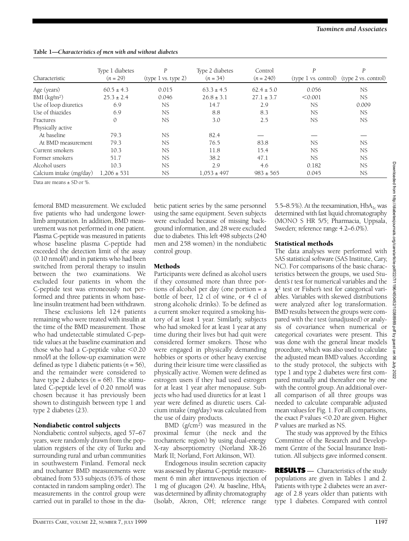Downloaded from http://diabetesjournals.org/care/article-pdf/22/7/1196/

#pd:68688801/ZS#091

 $\overline{90}$ 

|  |  | Tuominen and Associates |
|--|--|-------------------------|
|--|--|-------------------------|

| Characteristic           | Type 1 diabetes<br>$(n = 29)$ | P<br>(type 1 vs. type 2) | Type 2 diabetes<br>$(n = 34)$ | Control<br>$(n = 240)$ | P         | P<br>(type 1 vs. control) (type 2 vs. control) |
|--------------------------|-------------------------------|--------------------------|-------------------------------|------------------------|-----------|------------------------------------------------|
| Age (years)              | $60.5 \pm 4.3$                | 0.015                    | $63.3 \pm 4.5$                | $62.4 \pm 5.0$         | 0.056     | <b>NS</b>                                      |
| BMI (kg/m <sup>2</sup> ) | $25.3 \pm 2.4$                | 0.046                    | $26.8 \pm 3.1$                | $27.1 \pm 3.7$         | < 0.001   | NS.                                            |
| Use of loop diuretics    | 6.9                           | NS                       | 14.7                          | 2.9                    | <b>NS</b> | 0.009                                          |
| Use of thiazides         | 6.9                           | NS                       | 8.8                           | 8.3                    | NS.       | NS.                                            |
| Fractures                | 0                             | NS                       | 3.0                           | 2.5                    | <b>NS</b> | NS.                                            |
| Physically active        |                               |                          |                               |                        |           |                                                |
| At baseline              | 79.3                          | NS                       | 82.4                          |                        |           |                                                |
| At BMD measurement       | 79.3                          | NS.                      | 76.5                          | 83.8                   | NS.       | NS                                             |
| Current smokers          | 10.3                          | <b>NS</b>                | 11.8                          | 15.4                   | NS.       | <b>NS</b>                                      |
| Former smokers           | 51.7                          | NS.                      | 38.2                          | 47.1                   | NS.       | NS.                                            |
| Alcohol users            | 10.3                          | NS.                      | 2.9                           | 4.6                    | 0.182     | NS.                                            |
| Calcium intake (mg/day)  | $1.206 \pm 531$               | NS                       | $1,053 \pm 497$               | $983 \pm 565$          | 0.045     | NS                                             |

**Table 1***—Characteristics of men with and without diabetes*

Data are means ± SD or %.

femoral BMD measurement. We excluded five patients who had undergone lowerlimb amputation. In addition, BMD measurement was not performed in one patient. Plasma C-peptide was measured in patients whose baseline plasma C-peptide had exceeded the detection limit of the assay (0.10 nmol/l) and in patients who had been switched from peroral therapy to insulin between the two examinations. We excluded four patients in whom the C-peptide test was erroneously not performed and three patients in whom baseline insulin treatment had been withdrawn.

These exclusions left 124 patients remaining who were treated with insulin at the time of the BMD measurement. Those who had undetectable stimulated C-peptide values at the baseline examination and those who had a C-peptide value  $< 0.20$ nmol/l at the follow-up examination were defined as type 1 diabetic patients  $(n = 56)$ , and the remainder were considered to have type 2 diabetes  $(n = 68)$ . The stimulated C-peptide level of 0.20 nmol/l was chosen because it has previously been shown to distinguish between type 1 and type 2 diabetes (23).

## Nondiabetic control subjects

Nondiabetic control subjects, aged 57–67 years, were randomly drawn from the population registers of the city of Turku and surrounding rural and urban communities in southwestern Finland. Femoral neck and trochanter BMD measurements were obtained from 533 subjects (63% of those contacted in random sampling order). The measurements in the control group were carried out in parallel to those in the diabetic patient series by the same personnel using the same equipment. Seven subjects were excluded because of missing backg round information, and 28 were excluded due to diabetes. This left 498 subjects (240 men and 258 women) in the nondiabetic control group.

# Methods

Participants were defined as alcohol users if they consumed more than three portions of alcohol per day (one portion = a bottle of beer, 12 cl of wine, or 4 cl of strong alcoholic drinks). To be defined as a current smoker required a smoking history of at least 1 year. Similarly, subjects who had smoked for at least 1 year at any time during their lives but had quit were considered former smokers. Those who were engaged in physically demanding hobbies or sports or other heavy exercise during their leisure time were classified as physically active. Women were defined as estrogen users if they had used estrogen for at least 1 year after menopause. Subjects who had used diuretics for at least 1 year were defined as diuretic users. Calcium intake (mg/day) was calculated from the use of dairy products.

BMD (g/cm<sup>2</sup> ) was measured in the proximal femur (the neck and the trochanteric region) by using dual-energy X-ray absorptiometry (Norland XR-26 Mark II; Norland, Fort Atkinson, WI).

Endogenous insulin secretion capacity was assessed by plasma C-peptide measurement 6 min after intravenous injection of 1 mg of glucagon  $(24)$ . At baseline, HbA<sub>1</sub> was determined by affinity chromatography (Isolab, Akron, OH; reference range

5.5–8.5%). At the reexamination,  $HbA_{1c}$  was determined with fast liquid chromatography (MONO S HR 5/5; Pharmacia, Uppsala, Sweden; reference range 4.2–6.0%).

# Statistical methods

The data analyses were performed with SAS statistical software (SAS Institute, Cary, NC). For comparisons of the basic characteristics between the groups, we used Student's *t* test for numerical variables and the  $x^2$  test or Fisher's test for categorical variables. Variables with skewed distributions were analyzed after log transformation. BMD results between the groups were compared with the *t* test (unadjusted) or analysis of covariance when numerical or categorical covariates were present. This was done with the general linear models procedure, which was also used to calculate the adjusted mean BMD values. According to the study protocol, the subjects with type 1 and type 2 diabetes were first compared mutually and thereafter one by one with the control group. An additional overall comparison of all three groups was needed to calculate comparable adjusted mean values for Fig. 1. For all comparisons, the exact  $P$  values  $<$  0.20 are given. Higher *P* values are marked as NS.

The study was approved by the Ethics Committee of the Research and Development Centre of the Social Insurance Institution. All subjects gave informed consent.

**RESULTS** — Characteristics of the study populations are given in Tables 1 and 2. Patients with type 2 diabetes were an average of 2.8 years older than patients with type 1 diabetes. Compared with control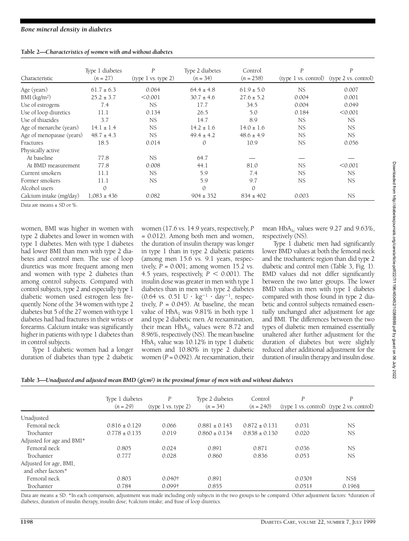| Characteristic           | Type 1 diabetes<br>$(n = 27)$ | P<br>(type 1 vs. type 2) | Type 2 diabetes<br>$(n = 34)$ | Control<br>$(n = 258)$ | P         | P<br>(type 1 vs. control) (type 2 vs. control) |
|--------------------------|-------------------------------|--------------------------|-------------------------------|------------------------|-----------|------------------------------------------------|
|                          |                               |                          |                               |                        |           |                                                |
| Age (years)              | $61.7 \pm 6.3$                | 0.064                    | $64.4 \pm 4.8$                | $61.9 \pm 5.0$         | NS        | 0.007                                          |
| BMI (kg/m <sup>2</sup> ) | $25.2 \pm 3.7$                | < 0.001                  | $30.7 \pm 4.6$                | $27.6 \pm 5.2$         | 0.004     | 0.001                                          |
| Use of estrogens         | 7.4                           | <b>NS</b>                | 17.7                          | 34.5                   | 0.004     | 0.049                                          |
| Use of loop diuretics    | 11.1                          | 0.134                    | 26.5                          | 5.0                    | 0.184     | < 0.001                                        |
| Use of thiazides         | 3.7                           | <b>NS</b>                | 14.7                          | 8.9                    | NS.       | <b>NS</b>                                      |
| Age of menarche (years)  | $14.1 \pm 1.4$                | <b>NS</b>                | $14.2 \pm 1.6$                | $14.0 \pm 1.6$         | <b>NS</b> | NS.                                            |
| Age of menopause (years) | $48.7 \pm 4.3$                | NS.                      | $49.4 \pm 4.2$                | $48.6 \pm 4.9$         | NS.       | NS                                             |
| Fractures                | 18.5                          | 0.014                    | 0                             | 10.9                   | NS        | 0.056                                          |
| Physically active        |                               |                          |                               |                        |           |                                                |
| At baseline              | 77.8                          | <b>NS</b>                | 64.7                          |                        |           |                                                |
| At BMD measurement       | 77.8                          | 0.008                    | 44.1                          | 81.0                   | <b>NS</b> | < 0.001                                        |
| Current smokers          | 11.1                          | NS                       | 5.9                           | 7.4                    | <b>NS</b> | <b>NS</b>                                      |
| Former smokers           | 11.1                          | <b>NS</b>                | 5.9                           | 9.7                    | <b>NS</b> | NS                                             |
| Alcohol users            |                               |                          |                               | $\Omega$               |           |                                                |
| Calcium intake (mg/day)  | $1,083 \pm 436$               | 0.082                    | $904 \pm 352$                 | $834 \pm 402$          | 0.003     | NS.                                            |

Data are means ± SD or %.

women, BMI was higher in women with type 2 diabetes and lower in women with type 1 diabetes. Men with type 1 diabetes had lower BMI than men with type 2 diabetes and control men. The use of loop diuretics was more frequent among men and women with type 2 diabetes than among control subjects. Compared with control subjects, type 2 and especially type 1 diabetic women used estrogen less frequently. None of the 34 women with type 2 diabetes but 5 of the 27 women with type 1 diabetes had had fractures in their wrists or forearms. Calcium intake was significantly higher in patients with type 1 diabetes than in control subjects.

Type 1 diabetic women had a longer duration of diabetes than type 2 diabetic

women (17.6 vs. 14.9 years, respectively, *P* = 0.012). Among both men and women, the duration of insulin therapy was longer in type 1 than in type 2 diabetic patients (among men  $15.6$  vs.  $9.1$  years, respectively,  $P = 0.001$ ; among women 15.2 vs. 4.5 years, respectively,  $P < 0.001$ ). The insulin dose was greater in men with type 1 diabetes than in men with type 2 diabetes  $(0.64 \text{ vs. } 0.51 \text{ U} \cdot \text{ kg}^{-1} \cdot \text{day}^{-1}, \text{ respec-}$ tively,  $P = 0.045$ ). At baseline, the mean value of  $HbA_1$  was 9.81% in both type 1 and type 2 diabetic men. At reexamination, their mean  $HbA_{1c}$  values were 8.72 and 8.96%, respectively (NS). The mean baseline  $HbA<sub>1</sub>$  value was 10.12% in type 1 diabetic women and 10.80% in type 2 diabetic women  $(P = 0.092)$ . At reexamination, their

mean  $HbA_{1c}$  values were 9.27 and 9.63%, respectively (NS).

Type 1 diabetic men had significantly lower BMD values at both the femoral neck and the trochanteric region than did type 2 diabetic and control men (Table 3, Fig. 1). BMD values did not differ significantly between the two latter groups. The lower BMD values in men with type 1 diabetes compared with those found in type 2 diabetic and control subjects remained essentially unchanged after adjustment for age and BMI. The differences between the two types of diabetic men remained essentially unaltered after further adjustment for the duration of diabetes but were slightly reduced after additional adjustment for the duration of insulin therapy and insulin dose.

|                           | Type 1 diabetes<br>$(n = 29)$ | $\boldsymbol{P}$<br>(type 1 vs. type 2) | Type 2 diabetes<br>$(n = 34)$ | Control<br>$(n = 240)$ | P        | P<br>$(type 1 vs. control)$ $(type 2 vs. control)$ |
|---------------------------|-------------------------------|-----------------------------------------|-------------------------------|------------------------|----------|----------------------------------------------------|
| Unadjusted                |                               |                                         |                               |                        |          |                                                    |
| Femoral neck              | $0.816 \pm 0.129$             | 0.066                                   | $0.881 \pm 0.143$             | $0.872 \pm 0.131$      | 0.031    | NS                                                 |
| Trochanter                | $0.778 \pm 0.135$             | 0.019                                   | $0.860 \pm 0.134$             | $0.838 \pm 0.130$      | 0.020    | NS.                                                |
| Adjusted for age and BMI* |                               |                                         |                               |                        |          |                                                    |
| Femoral neck              | 0.805                         | 0.024                                   | 0.891                         | 0.871                  | 0.036    | <b>NS</b>                                          |
| Trochanter                | 0.777                         | 0.028                                   | 0.860                         | 0.836                  | 0.053    | NS                                                 |
| Adjusted for age, BMI,    |                               |                                         |                               |                        |          |                                                    |
| and other factors*        |                               |                                         |                               |                        |          |                                                    |
| Femoral neck              | 0.803                         | 0.040 <sup>†</sup>                      | 0.891                         |                        | $0.030*$ | NS <sub>8</sub>                                    |
| Trochanter                | 0.784                         | 0.099†                                  | 0.855                         |                        | $0.051*$ | 0.1968                                             |

**Table 3—***Unadjusted and adjusted mean BMD (g/cm2) in the proximal femur of men with and without diabetes*

Data are means ± SD. \*In each comparison, adjustment was made including only subjects in the two groups to be compared. Other adjustment factors: †duration of diabetes, duration of insulin therapy, insulin dose; ‡calcium intake; and §use of loop diuretics.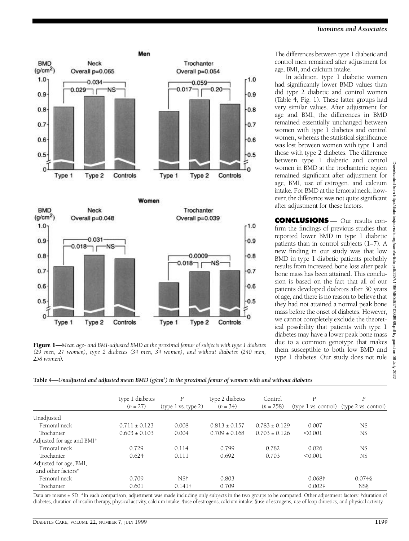

Figure 1—*Mean age- and BMI-adjusted BMD at the proximal femur of subjects with type 1 diabetes (29 men, 27 women), type 2 diabetes (34 men, 34 women), and without diabetes (240 men, 258 women).*

The differences between type 1 diabetic and control men remained after adjustment for age, BMI, and calcium intake.

In addition, type 1 diabetic women had significantly lower BMD values than did type 2 diabetic and control women ( Table 4, Fig. 1). These latter groups had very similar values. After adjustment for age and BMI, the differences in BMD remained essentially unchanged between women with type 1 diabetes and control women, whereas the statistical significance was lost between women with type 1 and those with type 2 diabetes. The difference between type 1 diabetic and control women in BMD at the trochanteric region remained significant after adjustment for age, BMI, use of estrogen, and calcium intake. For BMD at the femoral neck, however, the difference was not quite significant after adjustment for these factors.

**CONCLUSIONS** — Our results confirm the findings of previous studies that reported lower BMD in type 1 diabetic patients than in control subjects (1–7). A new finding in our study was that low BMD in type 1 diabetic patients probably results from increased bone loss after peak bone mass has been attained. This conclusion is based on the fact that all of our patients developed diabetes after 30 years of age, and there is no reason to believe that they had not attained a normal peak bone mass before the onset of diabetes. However, we cannot completely exclude the theoretical possibility that patients with type 1 diabetes may have a lower peak bone mass due to a common genotype that makes them susceptible to both low BMD and type 1 diabetes. Our study does not rule

| Table 4—Unadjusted and adjusted mean BMD (g/cm <sup>2</sup> ) in the proximal femur of women with and without diabetes |  |  |  |
|------------------------------------------------------------------------------------------------------------------------|--|--|--|
|------------------------------------------------------------------------------------------------------------------------|--|--|--|

|                           | Type 1 diabetes<br>$(n = 27)$ | $\boldsymbol{P}$<br>(type 1 vs. type 2) | Type 2 diabetes<br>$(n = 34)$ | Control<br>$(n = 258)$ | P         | $\boldsymbol{P}$<br>$(type 1 vs. control)$ $(type 2 vs. control)$ |
|---------------------------|-------------------------------|-----------------------------------------|-------------------------------|------------------------|-----------|-------------------------------------------------------------------|
| Unadjusted                |                               |                                         |                               |                        |           |                                                                   |
| Femoral neck              | $0.711 \pm 0.123$             | 0.008                                   | $0.813 \pm 0.157$             | $0.783 \pm 0.129$      | 0.007     | <b>NS</b>                                                         |
| Trochanter                | $0.603 \pm 0.103$             | 0.004                                   | $0.709 \pm 0.168$             | $0.703 \pm 0.126$      | < 0.001   | <b>NS</b>                                                         |
| Adjusted for age and BMI* |                               |                                         |                               |                        |           |                                                                   |
| Femoral neck              | 0.729                         | 0.114                                   | 0.799                         | 0.782                  | 0.026     | <b>NS</b>                                                         |
| Trochanter                | 0.624                         | 0.111                                   | 0.692                         | 0.703                  | < 0.001   | <b>NS</b>                                                         |
| Adjusted for age, BMI,    |                               |                                         |                               |                        |           |                                                                   |
| and other factors*        |                               |                                         |                               |                        |           |                                                                   |
| Femoral neck              | 0.709                         | NS†                                     | 0.803                         |                        | $0.068*$  | 0.0748                                                            |
| Trochanter                | 0.601                         | $0.141\dagger$                          | 0.709                         |                        | $0.002$ ‡ | NS <sub>8</sub>                                                   |

Data are means ± SD. \*In each comparison, adjustment was made including only subjects in the two groups to be compared. Other adjustment factors: †duration of diabetes, duration of insulin therapy, physical activity, calcium intake; ‡use of estrogens, calcium intake; §use of estrogens, use of loop diuretics, and physical activity.